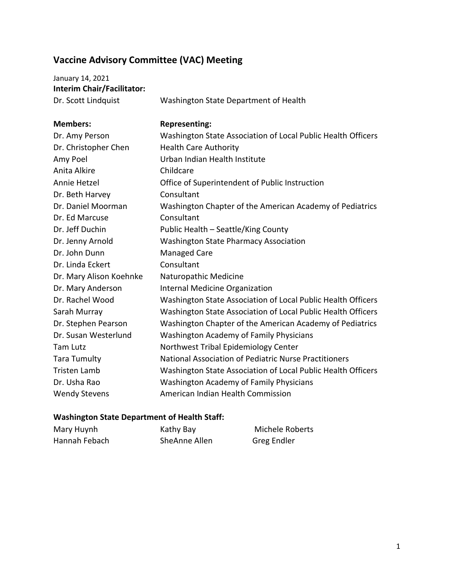## **Vaccine Advisory Committee (VAC) Meeting**

| January 14, 2021                  |                                             |
|-----------------------------------|---------------------------------------------|
| <b>Interim Chair/Facilitator:</b> |                                             |
| Dr. Scott Lindquist               | Washington State Department of Health       |
| <b>Members:</b>                   | <b>Representing:</b>                        |
| Dr. Amy Person                    | Washington State Association of Local Pu    |
| Dr. Christopher Chen              | <b>Health Care Authority</b>                |
| Amy Poel                          | Urban Indian Health Institute               |
| Anita Alkire                      | Childcare                                   |
| Annie Hetzel                      | Office of Superintendent of Public Instruct |
| Dr. Beth Harvey                   | Consultant                                  |

Annie Hetzel Office of Superintendent of Public Instruction Dr. Beth Harvey **Consultant** Dr. Daniel Moorman Washington Chapter of the American Academy of Pediatrics Dr. Ed Marcuse Consultant Dr. Jeff Duchin Public Health – Seattle/King County Dr. Jenny Arnold Washington State Pharmacy Association Dr. John Dunn Managed Care Dr. Linda Eckert Consultant Dr. Mary Alison Koehnke Naturopathic Medicine Dr. Mary Anderson Internal Medicine Organization Dr. Rachel Wood Washington State Association of Local Public Health Officers Sarah Murray Washington State Association of Local Public Health Officers Dr. Stephen Pearson Washington Chapter of the American Academy of Pediatrics Dr. Susan Westerlund Washington Academy of Family Physicians Tam Lutz **Northwest Tribal Epidemiology Center** Tara Tumulty National Association of Pediatric Nurse Practitioners Tristen Lamb Washington State Association of Local Public Health Officers Dr. Usha Rao Washington Academy of Family Physicians Wendy Stevens **American Indian Health Commission** 

## **Washington State Department of Health Staff:**

| Mary Huynh    | Kathy Bay     | Michele Roberts |
|---------------|---------------|-----------------|
| Hannah Febach | SheAnne Allen | Greg Endler     |

**Public Health Officers**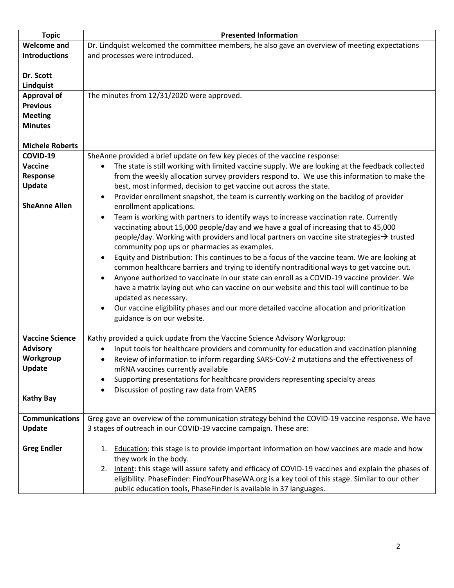| <b>Topic</b>           | <b>Presented Information</b>                                                                            |
|------------------------|---------------------------------------------------------------------------------------------------------|
| <b>Welcome and</b>     | Dr. Lindquist welcomed the committee members, he also gave an overview of meeting expectations          |
| <b>Introductions</b>   | and processes were introduced.                                                                          |
|                        |                                                                                                         |
| Dr. Scott              |                                                                                                         |
| Lindquist              |                                                                                                         |
| <b>Approval of</b>     | The minutes from 12/31/2020 were approved.                                                              |
|                        |                                                                                                         |
| <b>Previous</b>        |                                                                                                         |
| <b>Meeting</b>         |                                                                                                         |
| <b>Minutes</b>         |                                                                                                         |
|                        |                                                                                                         |
| <b>Michele Roberts</b> |                                                                                                         |
| COVID-19               | SheAnne provided a brief update on few key pieces of the vaccine response:                              |
| Vaccine                | The state is still working with limited vaccine supply. We are looking at the feedback collected        |
| Response               | from the weekly allocation survey providers respond to. We use this information to make the             |
| Update                 | best, most informed, decision to get vaccine out across the state.                                      |
|                        | Provider enrollment snapshot, the team is currently working on the backlog of provider<br>$\bullet$     |
| <b>SheAnne Allen</b>   | enrollment applications.                                                                                |
|                        | Team is working with partners to identify ways to increase vaccination rate. Currently<br>$\bullet$     |
|                        |                                                                                                         |
|                        | vaccinating about 15,000 people/day and we have a goal of increasing that to 45,000                     |
|                        | people/day. Working with providers and local partners on vaccine site strategies $\rightarrow$ trusted  |
|                        | community pop ups or pharmacies as examples.                                                            |
|                        | Equity and Distribution: This continues to be a focus of the vaccine team. We are looking at            |
|                        | common healthcare barriers and trying to identify nontraditional ways to get vaccine out.               |
|                        | Anyone authorized to vaccinate in our state can enroll as a COVID-19 vaccine provider. We               |
|                        | have a matrix laying out who can vaccine on our website and this tool will continue to be               |
|                        | updated as necessary.                                                                                   |
|                        | Our vaccine eligibility phases and our more detailed vaccine allocation and prioritization<br>$\bullet$ |
|                        | guidance is on our website.                                                                             |
|                        |                                                                                                         |
| <b>Vaccine Science</b> | Kathy provided a quick update from the Vaccine Science Advisory Workgroup:                              |
| <b>Advisory</b>        | Input tools for healthcare providers and community for education and vaccination planning               |
| Workgroup              |                                                                                                         |
| Update                 | Review of information to inform regarding SARS-CoV-2 mutations and the effectiveness of                 |
|                        | mRNA vaccines currently available                                                                       |
|                        | Supporting presentations for healthcare providers representing specialty areas                          |
|                        | Discussion of posting raw data from VAERS                                                               |
| <b>Kathy Bay</b>       |                                                                                                         |
|                        |                                                                                                         |
| <b>Communications</b>  | Greg gave an overview of the communication strategy behind the COVID-19 vaccine response. We have       |
| Update                 | 3 stages of outreach in our COVID-19 vaccine campaign. These are:                                       |
|                        |                                                                                                         |
| <b>Greg Endler</b>     | 1. Education: this stage is to provide important information on how vaccines are made and how           |
|                        | they work in the body.                                                                                  |
|                        | 2. Intent: this stage will assure safety and efficacy of COVID-19 vaccines and explain the phases of    |
|                        | eligibility. PhaseFinder: FindYourPhaseWA.org is a key tool of this stage. Similar to our other         |
|                        | public education tools, PhaseFinder is available in 37 languages.                                       |
|                        |                                                                                                         |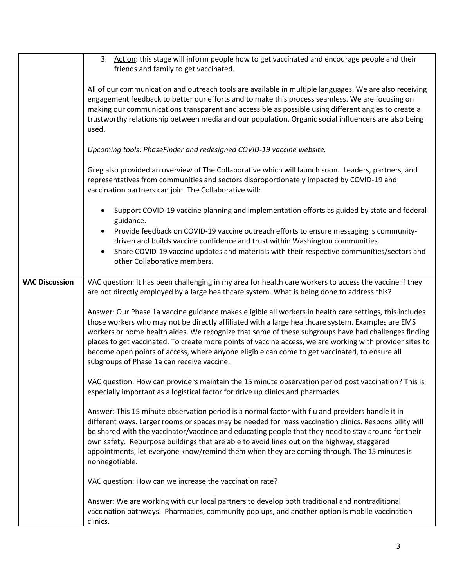|                       | 3. Action: this stage will inform people how to get vaccinated and encourage people and their<br>friends and family to get vaccinated.                                                                                                                                                                                                                                                                                                                                                                                                                                         |
|-----------------------|--------------------------------------------------------------------------------------------------------------------------------------------------------------------------------------------------------------------------------------------------------------------------------------------------------------------------------------------------------------------------------------------------------------------------------------------------------------------------------------------------------------------------------------------------------------------------------|
|                       | All of our communication and outreach tools are available in multiple languages. We are also receiving<br>engagement feedback to better our efforts and to make this process seamless. We are focusing on<br>making our communications transparent and accessible as possible using different angles to create a<br>trustworthy relationship between media and our population. Organic social influencers are also being<br>used.                                                                                                                                              |
|                       | Upcoming tools: PhaseFinder and redesigned COVID-19 vaccine website.                                                                                                                                                                                                                                                                                                                                                                                                                                                                                                           |
|                       | Greg also provided an overview of The Collaborative which will launch soon. Leaders, partners, and<br>representatives from communities and sectors disproportionately impacted by COVID-19 and<br>vaccination partners can join. The Collaborative will:                                                                                                                                                                                                                                                                                                                       |
|                       | Support COVID-19 vaccine planning and implementation efforts as guided by state and federal<br>$\bullet$<br>guidance.<br>Provide feedback on COVID-19 vaccine outreach efforts to ensure messaging is community-<br>$\bullet$<br>driven and builds vaccine confidence and trust within Washington communities.<br>Share COVID-19 vaccine updates and materials with their respective communities/sectors and<br>$\bullet$<br>other Collaborative members.                                                                                                                      |
| <b>VAC Discussion</b> | VAC question: It has been challenging in my area for health care workers to access the vaccine if they<br>are not directly employed by a large healthcare system. What is being done to address this?                                                                                                                                                                                                                                                                                                                                                                          |
|                       | Answer: Our Phase 1a vaccine guidance makes eligible all workers in health care settings, this includes<br>those workers who may not be directly affiliated with a large healthcare system. Examples are EMS<br>workers or home health aides. We recognize that some of these subgroups have had challenges finding<br>places to get vaccinated. To create more points of vaccine access, we are working with provider sites to<br>become open points of access, where anyone eligible can come to get vaccinated, to ensure all<br>subgroups of Phase 1a can receive vaccine. |
|                       | VAC question: How can providers maintain the 15 minute observation period post vaccination? This is<br>especially important as a logistical factor for drive up clinics and pharmacies.                                                                                                                                                                                                                                                                                                                                                                                        |
|                       | Answer: This 15 minute observation period is a normal factor with flu and providers handle it in<br>different ways. Larger rooms or spaces may be needed for mass vaccination clinics. Responsibility will<br>be shared with the vaccinator/vaccinee and educating people that they need to stay around for their<br>own safety. Repurpose buildings that are able to avoid lines out on the highway, staggered<br>appointments, let everyone know/remind them when they are coming through. The 15 minutes is<br>nonnegotiable.                                               |
|                       | VAC question: How can we increase the vaccination rate?                                                                                                                                                                                                                                                                                                                                                                                                                                                                                                                        |
|                       | Answer: We are working with our local partners to develop both traditional and nontraditional<br>vaccination pathways. Pharmacies, community pop ups, and another option is mobile vaccination<br>clinics.                                                                                                                                                                                                                                                                                                                                                                     |